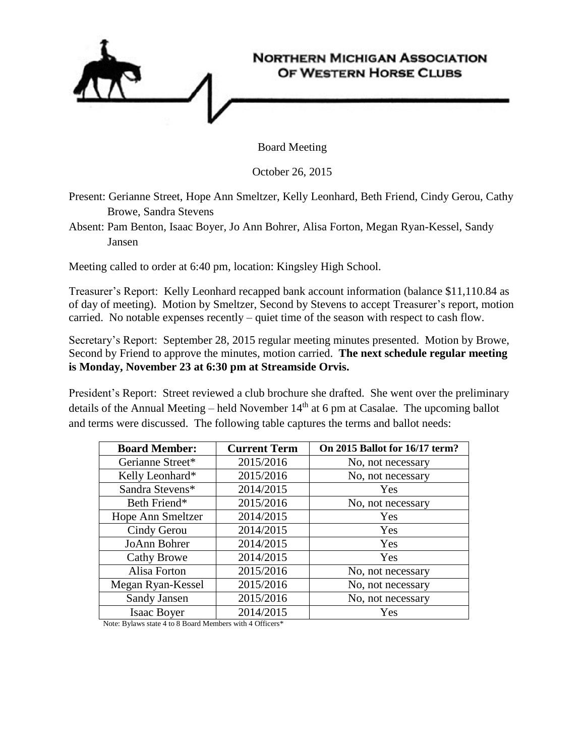

Board Meeting

October 26, 2015

Present: Gerianne Street, Hope Ann Smeltzer, Kelly Leonhard, Beth Friend, Cindy Gerou, Cathy Browe, Sandra Stevens

Absent: Pam Benton, Isaac Boyer, Jo Ann Bohrer, Alisa Forton, Megan Ryan-Kessel, Sandy Jansen

Meeting called to order at 6:40 pm, location: Kingsley High School.

Treasurer's Report: Kelly Leonhard recapped bank account information (balance \$11,110.84 as of day of meeting). Motion by Smeltzer, Second by Stevens to accept Treasurer's report, motion carried. No notable expenses recently – quiet time of the season with respect to cash flow.

Secretary's Report: September 28, 2015 regular meeting minutes presented. Motion by Browe, Second by Friend to approve the minutes, motion carried. **The next schedule regular meeting is Monday, November 23 at 6:30 pm at Streamside Orvis.** 

President's Report: Street reviewed a club brochure she drafted. She went over the preliminary details of the Annual Meeting – held November  $14<sup>th</sup>$  at 6 pm at Casalae. The upcoming ballot and terms were discussed. The following table captures the terms and ballot needs:

| <b>Board Member:</b> | <b>Current Term</b> | On 2015 Ballot for 16/17 term? |
|----------------------|---------------------|--------------------------------|
| Gerianne Street*     | 2015/2016           | No, not necessary              |
| Kelly Leonhard*      | 2015/2016           | No, not necessary              |
| Sandra Stevens*      | 2014/2015           | Yes                            |
| Beth Friend*         | 2015/2016           | No, not necessary              |
| Hope Ann Smeltzer    | 2014/2015           | Yes                            |
| Cindy Gerou          | 2014/2015           | Yes                            |
| JoAnn Bohrer         | 2014/2015           | Yes                            |
| <b>Cathy Browe</b>   | 2014/2015           | Yes                            |
| Alisa Forton         | 2015/2016           | No, not necessary              |
| Megan Ryan-Kessel    | 2015/2016           | No, not necessary              |
| Sandy Jansen         | 2015/2016           | No, not necessary              |
| <b>Isaac Boyer</b>   | 2014/2015           | Yes                            |

Note: Bylaws state 4 to 8 Board Members with 4 Officers\*